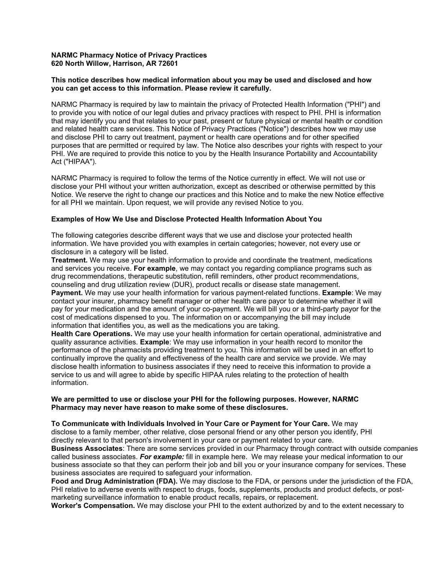### **NARMC Pharmacy Notice of Privacy Practices 620 North Willow, Harrison, AR 72601**

## **This notice describes how medical information about you may be used and disclosed and how you can get access to this information. Please review it carefully.**

NARMC Pharmacy is required by law to maintain the privacy of Protected Health Information ("PHI") and to provide you with notice of our legal duties and privacy practices with respect to PHI. PHI is information that may identify you and that relates to your past, present or future physical or mental health or condition and related health care services. This Notice of Privacy Practices ("Notice") describes how we may use and disclose PHI to carry out treatment, payment or health care operations and for other specified purposes that are permitted or required by law. The Notice also describes your rights with respect to your PHI. We are required to provide this notice to you by the Health Insurance Portability and Accountability Act ("HIPAA").

NARMC Pharmacy is required to follow the terms of the Notice currently in effect. We will not use or disclose your PHI without your written authorization, except as described or otherwise permitted by this Notice. We reserve the right to change our practices and this Notice and to make the new Notice effective for all PHI we maintain. Upon request, we will provide any revised Notice to you.

## **Examples of How We Use and Disclose Protected Health Information About You**

The following categories describe different ways that we use and disclose your protected health information. We have provided you with examples in certain categories; however, not every use or disclosure in a category will be listed.

**Treatment.** We may use your health information to provide and coordinate the treatment, medications and services you receive. **For example**, we may contact you regarding compliance programs such as drug recommendations, therapeutic substitution, refill reminders, other product recommendations, counseling and drug utilization review (DUR), product recalls or disease state management. **Payment.** We may use your health information for various payment-related functions. **Example**: We may contact your insurer, pharmacy benefit manager or other health care payor to determine whether it will pay for your medication and the amount of your co-payment. We will bill you or a third-party payor for the cost of medications dispensed to you. The information on or accompanying the bill may include

information that identifies you, as well as the medications you are taking. **Health Care Operations.** We may use your health information for certain operational, administrative and

quality assurance activities. **Example**: We may use information in your health record to monitor the performance of the pharmacists providing treatment to you. This information will be used in an effort to continually improve the quality and effectiveness of the health care and service we provide. We may disclose health information to business associates if they need to receive this information to provide a service to us and will agree to abide by specific HIPAA rules relating to the protection of health information.

#### **We are permitted to use or disclose your PHI for the following purposes. However, NARMC Pharmacy may never have reason to make some of these disclosures.**

#### **To Communicate with Individuals Involved in Your Care or Payment for Your Care.** We may

disclose to a family member, other relative, close personal friend or any other person you identify, PHI directly relevant to that person's involvement in your care or payment related to your care.

**Business Associates**: There are some services provided in our Pharmacy through contract with outside companies called business associates. *For example:* fill in example here. We may release your medical information to our business associate so that they can perform their job and bill you or your insurance company for services. These business associates are required to safeguard your information.

**Food and Drug Administration (FDA).** We may disclose to the FDA, or persons under the jurisdiction of the FDA, PHI relative to adverse events with respect to drugs, foods, supplements, products and product defects, or postmarketing surveillance information to enable product recalls, repairs, or replacement.

**Worker's Compensation.** We may disclose your PHI to the extent authorized by and to the extent necessary to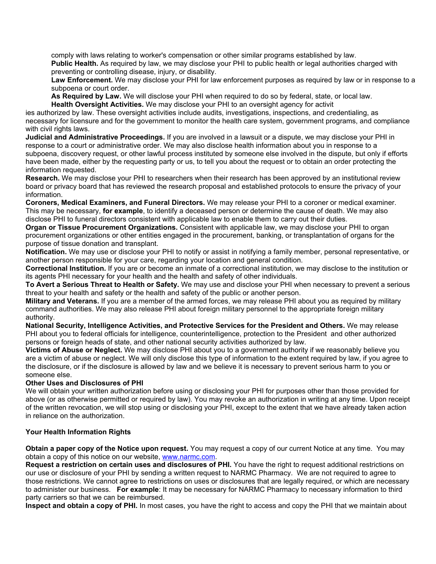comply with laws relating to worker's compensation or other similar programs established by law.

**Public Health.** As required by law, we may disclose your PHI to public health or legal authorities charged with preventing or controlling disease, injury, or disability.

**Law Enforcement.** We may disclose your PHI for law enforcement purposes as required by law or in response to a subpoena or court order.

**As Required by Law.** We will disclose your PHI when required to do so by federal, state, or local law. **Health Oversight Activities.** We may disclose your PHI to an oversight agency for activit

ies authorized by law. These oversight activities include audits, investigations, inspections, and credentialing, as necessary for licensure and for the government to monitor the health care system, government programs, and compliance with civil rights laws.

**Judicial and Administrative Proceedings.** If you are involved in a lawsuit or a dispute, we may disclose your PHI in response to a court or administrative order. We may also disclose health information about you in response to a subpoena, discovery request, or other lawful process instituted by someone else involved in the dispute, but only if efforts have been made, either by the requesting party or us, to tell you about the request or to obtain an order protecting the information requested.

**Research.** We may disclose your PHI to researchers when their research has been approved by an institutional review board or privacy board that has reviewed the research proposal and established protocols to ensure the privacy of your information.

**Coroners, Medical Examiners, and Funeral Directors.** We may release your PHI to a coroner or medical examiner. This may be necessary, **for example**, to identify a deceased person or determine the cause of death. We may also disclose PHI to funeral directors consistent with applicable law to enable them to carry out their duties.

**Organ or Tissue Procurement Organizations.** Consistent with applicable law, we may disclose your PHI to organ procurement organizations or other entities engaged in the procurement, banking, or transplantation of organs for the purpose of tissue donation and transplant.

**Notification.** We may use or disclose your PHI to notify or assist in notifying a family member, personal representative, or another person responsible for your care, regarding your location and general condition.

**Correctional Institution.** If you are or become an inmate of a correctional institution, we may disclose to the institution or its agents PHI necessary for your health and the health and safety of other individuals.

**To Avert a Serious Threat to Health or Safety.** We may use and disclose your PHI when necessary to prevent a serious threat to your health and safety or the health and safety of the public or another person.

**Military and Veterans.** If you are a member of the armed forces, we may release PHI about you as required by military command authorities. We may also release PHI about foreign military personnel to the appropriate foreign military authority.

**National Security, Intelligence Activities, and Protective Services for the President and Others.** We may release PHI about you to federal officials for intelligence, counterintelligence, protection to the President and other authorized persons or foreign heads of state, and other national security activities authorized by law.

**Victims of Abuse or Neglect.** We may disclose PHI about you to a government authority if we reasonably believe you are a victim of abuse or neglect. We will only disclose this type of information to the extent required by law, if you agree to the disclosure, or if the disclosure is allowed by law and we believe it is necessary to prevent serious harm to you or someone else.

# **Other Uses and Disclosures of PHI**

We will obtain your written authorization before using or disclosing your PHI for purposes other than those provided for above (or as otherwise permitted or required by law). You may revoke an authorization in writing at any time. Upon receipt of the written revocation, we will stop using or disclosing your PHI, except to the extent that we have already taken action in reliance on the authorization.

# **Your Health Information Rights**

**Obtain a paper copy of the Notice upon request.** You may request a copy of our current Notice at any time. You may obtain a copy of this notice on our website, [www.narmc.com](http://www.narmc.com/).

**Request a restriction on certain uses and disclosures of PHI.** You have the right to request additional restrictions on our use or disclosure of your PHI by sending a written request to NARMC Pharmacy. We are not required to agree to those restrictions. We cannot agree to restrictions on uses or disclosures that are legally required, or which are necessary to administer our business. **For example**: It may be necessary for NARMC Pharmacy to necessary information to third party carriers so that we can be reimbursed.

**Inspect and obtain a copy of PHI.** In most cases, you have the right to access and copy the PHI that we maintain about